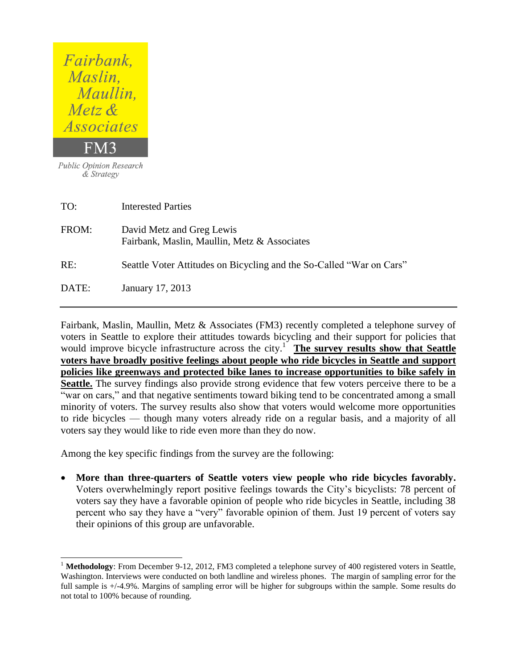| <i>Fairbank</i> ,<br>Maslin,<br>Maullin,<br><i>Metz</i> $\&$ |                                                                           |
|--------------------------------------------------------------|---------------------------------------------------------------------------|
| <i>Associates</i>                                            |                                                                           |
| FM3                                                          |                                                                           |
| <b>Public Opinion Research</b><br>& Strategy                 |                                                                           |
| TO:                                                          | <b>Interested Parties</b>                                                 |
| FROM:                                                        | David Metz and Greg Lewis<br>Fairbank, Maslin, Maullin, Metz & Associates |

RE: Seattle Voter Attitudes on Bicycling and the So-Called "War on Cars"

DATE: January 17, 2013

 $\overline{a}$ 

Fairbank, Maslin, Maullin, Metz & Associates (FM3) recently completed a telephone survey of voters in Seattle to explore their attitudes towards bicycling and their support for policies that would improve bicycle infrastructure across the city.<sup>1</sup> The survey results show that Seattle **voters have broadly positive feelings about people who ride bicycles in Seattle and support policies like greenways and protected bike lanes to increase opportunities to bike safely in Seattle.** The survey findings also provide strong evidence that few voters perceive there to be a "war on cars," and that negative sentiments toward biking tend to be concentrated among a small minority of voters. The survey results also show that voters would welcome more opportunities to ride bicycles — though many voters already ride on a regular basis, and a majority of all voters say they would like to ride even more than they do now.

Among the key specific findings from the survey are the following:

 **More than three-quarters of Seattle voters view people who ride bicycles favorably.** Voters overwhelmingly report positive feelings towards the City's bicyclists: 78 percent of voters say they have a favorable opinion of people who ride bicycles in Seattle, including 38 percent who say they have a "very" favorable opinion of them. Just 19 percent of voters say their opinions of this group are unfavorable.

<sup>&</sup>lt;sup>1</sup> Methodology: From December 9-12, 2012, FM3 completed a telephone survey of 400 registered voters in Seattle, Washington. Interviews were conducted on both landline and wireless phones. The margin of sampling error for the full sample is  $+/-4.9\%$ . Margins of sampling error will be higher for subgroups within the sample. Some results do not total to 100% because of rounding.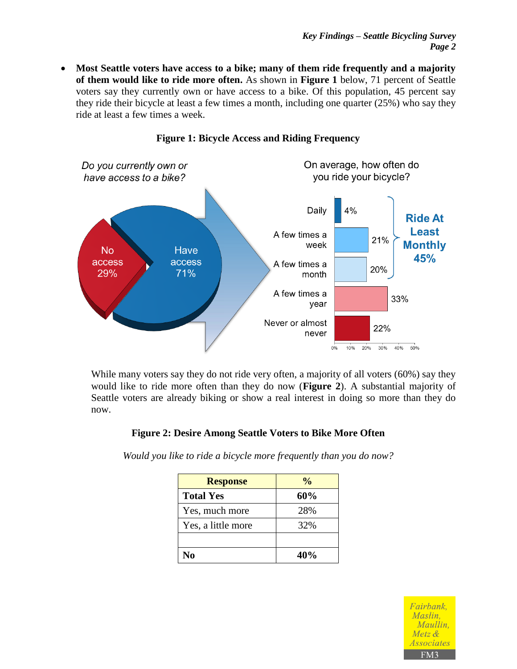**Most Seattle voters have access to a bike; many of them ride frequently and a majority of them would like to ride more often.** As shown in **Figure 1** below, 71 percent of Seattle voters say they currently own or have access to a bike. Of this population, 45 percent say they ride their bicycle at least a few times a month, including one quarter (25%) who say they ride at least a few times a week.



#### **Figure 1: Bicycle Access and Riding Frequency**

While many voters say they do not ride very often, a majority of all voters (60%) say they would like to ride more often than they do now (**Figure 2**). A substantial majority of Seattle voters are already biking or show a real interest in doing so more than they do now.

#### **Figure 2: Desire Among Seattle Voters to Bike More Often**

*Would you like to ride a bicycle more frequently than you do now?*

| <b>Response</b>    | $\frac{0}{0}$ |
|--------------------|---------------|
| <b>Total Yes</b>   | 60%           |
| Yes, much more     | 28%           |
| Yes, a little more | 32%           |
|                    |               |
| No                 | 40%           |

Fairbank. Maslin. Maullin. Metz & *Associates* FM3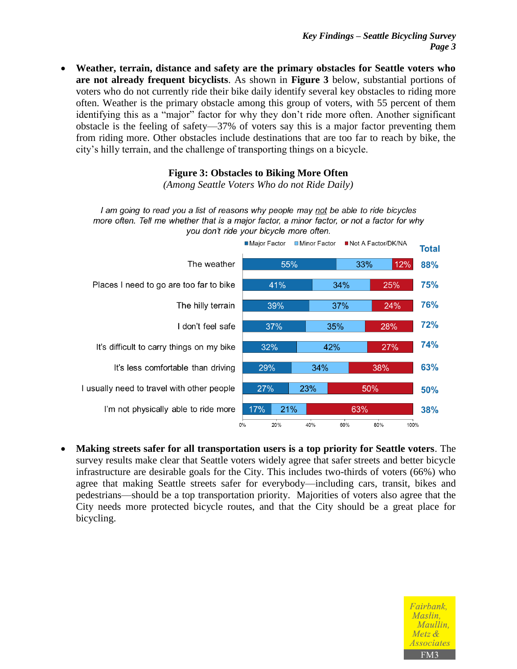**Weather, terrain, distance and safety are the primary obstacles for Seattle voters who are not already frequent bicyclists**. As shown in **Figure 3** below, substantial portions of voters who do not currently ride their bike daily identify several key obstacles to riding more often. Weather is the primary obstacle among this group of voters, with 55 percent of them identifying this as a "major" factor for why they don't ride more often. Another significant obstacle is the feeling of safety—37% of voters say this is a major factor preventing them from riding more. Other obstacles include destinations that are too far to reach by bike, the city's hilly terrain, and the challenge of transporting things on a bicycle.

### **Figure 3: Obstacles to Biking More Often**

*(Among Seattle Voters Who do not Ride Daily)*

I am going to read you a list of reasons why people may not be able to ride bicycles more often. Tell me whether that is a major factor, a minor factor, or not a factor for why you don't ride your bicycle more often.



 **Making streets safer for all transportation users is a top priority for Seattle voters**. The survey results make clear that Seattle voters widely agree that safer streets and better bicycle infrastructure are desirable goals for the City. This includes two-thirds of voters (66%) who agree that making Seattle streets safer for everybody—including cars, transit, bikes and pedestrians—should be a top transportation priority. Majorities of voters also agree that the City needs more protected bicycle routes, and that the City should be a great place for bicycling.

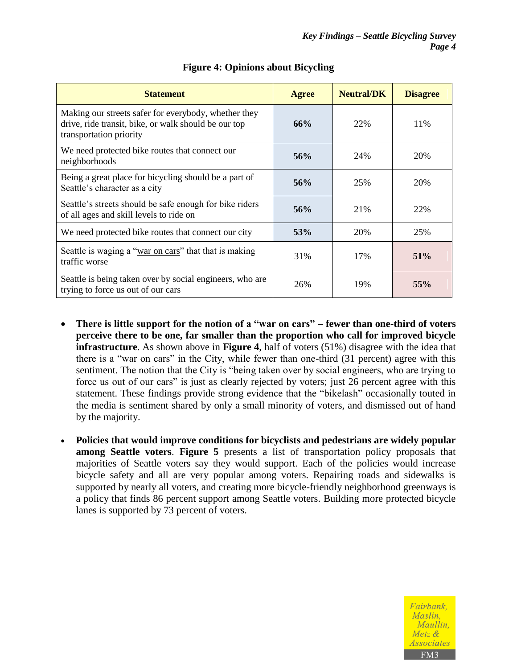| <b>Statement</b>                                                                                                                        | <b>Agree</b> | <b>Neutral/DK</b> | <b>Disagree</b> |
|-----------------------------------------------------------------------------------------------------------------------------------------|--------------|-------------------|-----------------|
| Making our streets safer for everybody, whether they<br>drive, ride transit, bike, or walk should be our top<br>transportation priority | 66%          | 22%               | 11%             |
| We need protected bike routes that connect our<br>neighborhoods                                                                         | 56%          | 24%               | 20%             |
| Being a great place for bicycling should be a part of<br>Seattle's character as a city                                                  | 56%          | 25%               | 20%             |
| Seattle's streets should be safe enough for bike riders<br>of all ages and skill levels to ride on                                      | 56%          | 21%               | 22%             |
| We need protected bike routes that connect our city                                                                                     | 53%          | 20%               | 25%             |
| Seattle is waging a "war on cars" that that is making<br>traffic worse                                                                  | 31%          | 17%               | 51%             |
| Seattle is being taken over by social engineers, who are<br>trying to force us out of our cars                                          | 26%          | 19%               | 55%             |

# **Figure 4: Opinions about Bicycling**

- **There is little support for the notion of a "war on cars" – fewer than one-third of voters perceive there to be one, far smaller than the proportion who call for improved bicycle infrastructure**. As shown above in **Figure 4**, half of voters (51%) disagree with the idea that there is a "war on cars" in the City, while fewer than one-third (31 percent) agree with this sentiment. The notion that the City is "being taken over by social engineers, who are trying to force us out of our cars" is just as clearly rejected by voters; just 26 percent agree with this statement. These findings provide strong evidence that the "bikelash" occasionally touted in the media is sentiment shared by only a small minority of voters, and dismissed out of hand by the majority.
- **Policies that would improve conditions for bicyclists and pedestrians are widely popular among Seattle voters**. **Figure 5** presents a list of transportation policy proposals that majorities of Seattle voters say they would support. Each of the policies would increase bicycle safety and all are very popular among voters. Repairing roads and sidewalks is supported by nearly all voters, and creating more bicycle-friendly neighborhood greenways is a policy that finds 86 percent support among Seattle voters. Building more protected bicycle lanes is supported by 73 percent of voters.

Fairbank. Maslin. Maullin.  $Metz$  & *Associates*  $FM3$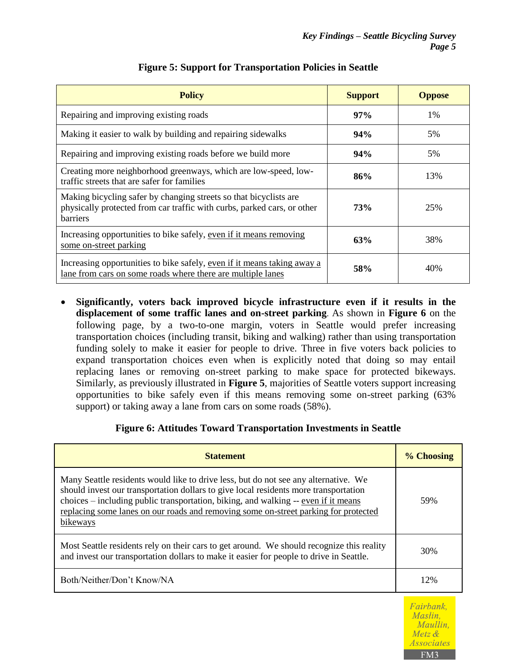| <b>Policy</b>                                                                                                                                            | <b>Support</b> | <b>Oppose</b> |
|----------------------------------------------------------------------------------------------------------------------------------------------------------|----------------|---------------|
| Repairing and improving existing roads                                                                                                                   | 97%            | $1\%$         |
| Making it easier to walk by building and repairing sidewalks                                                                                             | 94%            | 5%            |
| Repairing and improving existing roads before we build more                                                                                              | 94%            | 5%            |
| Creating more neighborhood greenways, which are low-speed, low-<br>traffic streets that are safer for families                                           | 86%            | 13%           |
| Making bicycling safer by changing streets so that bicyclists are<br>physically protected from car traffic with curbs, parked cars, or other<br>barriers | 73%            | 25%           |
| Increasing opportunities to bike safely, even if it means removing<br>some on-street parking                                                             | 63%            | 38%           |
| Increasing opportunities to bike safely, even if it means taking away a<br>lane from cars on some roads where there are multiple lanes                   | 58%            | 40%           |

## **Figure 5: Support for Transportation Policies in Seattle**

 **Significantly, voters back improved bicycle infrastructure even if it results in the displacement of some traffic lanes and on-street parking**. As shown in **Figure 6** on the following page, by a two-to-one margin, voters in Seattle would prefer increasing transportation choices (including transit, biking and walking) rather than using transportation funding solely to make it easier for people to drive. Three in five voters back policies to expand transportation choices even when is explicitly noted that doing so may entail replacing lanes or removing on-street parking to make space for protected bikeways. Similarly, as previously illustrated in **Figure 5**, majorities of Seattle voters support increasing opportunities to bike safely even if this means removing some on-street parking (63% support) or taking away a lane from cars on some roads (58%).

## **Figure 6: Attitudes Toward Transportation Investments in Seattle**

| <b>Statement</b>                                                                                                                                                                                                                                                                                                                                                     | % Choosing |
|----------------------------------------------------------------------------------------------------------------------------------------------------------------------------------------------------------------------------------------------------------------------------------------------------------------------------------------------------------------------|------------|
| Many Seattle residents would like to drive less, but do not see any alternative. We<br>should invest our transportation dollars to give local residents more transportation<br>choices – including public transportation, biking, and walking -- even if it means<br>replacing some lanes on our roads and removing some on-street parking for protected<br>bikeways | 59%        |
| Most Seattle residents rely on their cars to get around. We should recognize this reality<br>and invest our transportation dollars to make it easier for people to drive in Seattle.                                                                                                                                                                                 | 30%        |
| Both/Neither/Don't Know/NA                                                                                                                                                                                                                                                                                                                                           | 12%        |